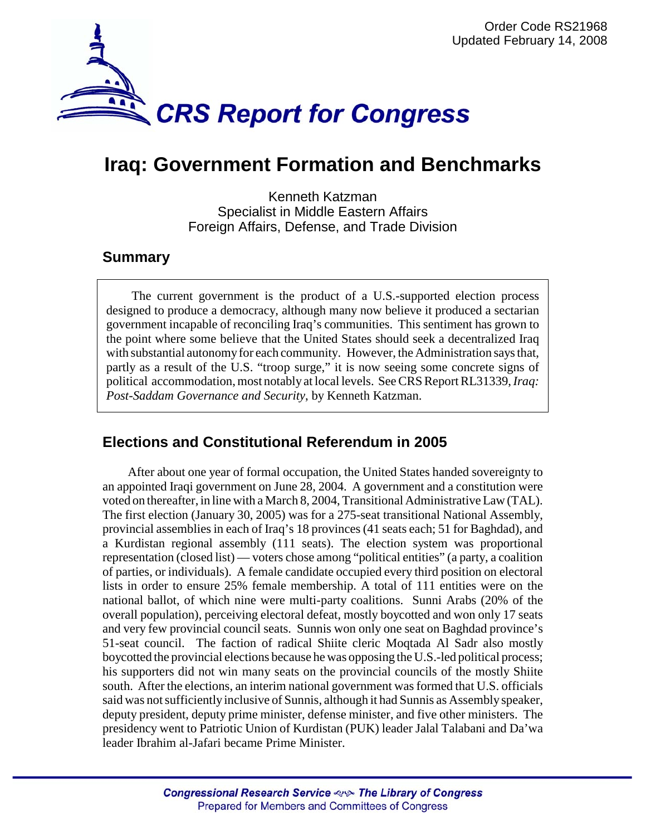

# **Iraq: Government Formation and Benchmarks**

Kenneth Katzman Specialist in Middle Eastern Affairs Foreign Affairs, Defense, and Trade Division

## **Summary**

The current government is the product of a U.S.-supported election process designed to produce a democracy, although many now believe it produced a sectarian government incapable of reconciling Iraq's communities. This sentiment has grown to the point where some believe that the United States should seek a decentralized Iraq with substantial autonomy for each community. However, the Administration says that, partly as a result of the U.S. "troop surge," it is now seeing some concrete signs of political accommodation, most notably at local levels. See CRS Report RL31339, *Iraq: Post-Saddam Governance and Security*, by Kenneth Katzman.

## **Elections and Constitutional Referendum in 2005**

After about one year of formal occupation, the United States handed sovereignty to an appointed Iraqi government on June 28, 2004. A government and a constitution were voted on thereafter, in line with a March 8, 2004, Transitional Administrative Law (TAL). The first election (January 30, 2005) was for a 275-seat transitional National Assembly, provincial assemblies in each of Iraq's 18 provinces (41 seats each; 51 for Baghdad), and a Kurdistan regional assembly (111 seats). The election system was proportional representation (closed list) — voters chose among "political entities" (a party, a coalition of parties, or individuals). A female candidate occupied every third position on electoral lists in order to ensure 25% female membership. A total of 111 entities were on the national ballot, of which nine were multi-party coalitions. Sunni Arabs (20% of the overall population), perceiving electoral defeat, mostly boycotted and won only 17 seats and very few provincial council seats. Sunnis won only one seat on Baghdad province's 51-seat council. The faction of radical Shiite cleric Moqtada Al Sadr also mostly boycotted the provincial elections because he was opposing the U.S.-led political process; his supporters did not win many seats on the provincial councils of the mostly Shiite south. After the elections, an interim national government was formed that U.S. officials said was not sufficiently inclusive of Sunnis, although it had Sunnis as Assembly speaker, deputy president, deputy prime minister, defense minister, and five other ministers. The presidency went to Patriotic Union of Kurdistan (PUK) leader Jalal Talabani and Da'wa leader Ibrahim al-Jafari became Prime Minister.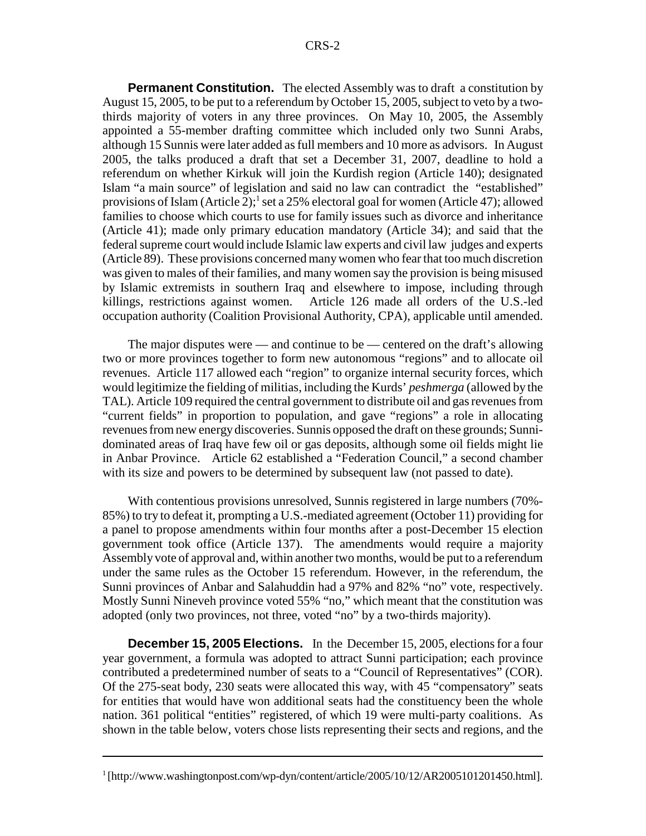**Permanent Constitution.** The elected Assembly was to draft a constitution by August 15, 2005, to be put to a referendum by October 15, 2005, subject to veto by a twothirds majority of voters in any three provinces. On May 10, 2005, the Assembly appointed a 55-member drafting committee which included only two Sunni Arabs, although 15 Sunnis were later added as full members and 10 more as advisors. In August 2005, the talks produced a draft that set a December 31, 2007, deadline to hold a referendum on whether Kirkuk will join the Kurdish region (Article 140); designated Islam "a main source" of legislation and said no law can contradict the "established" provisions of Islam (Article 2);<sup>1</sup> set a 25% electoral goal for women (Article 47); allowed families to choose which courts to use for family issues such as divorce and inheritance (Article 41); made only primary education mandatory (Article 34); and said that the federal supreme court would include Islamic law experts and civil law judges and experts (Article 89). These provisions concerned many women who fear that too much discretion was given to males of their families, and many women say the provision is being misused by Islamic extremists in southern Iraq and elsewhere to impose, including through killings, restrictions against women. Article 126 made all orders of the U.S.-led occupation authority (Coalition Provisional Authority, CPA), applicable until amended.

The major disputes were — and continue to be — centered on the draft's allowing two or more provinces together to form new autonomous "regions" and to allocate oil revenues. Article 117 allowed each "region" to organize internal security forces, which would legitimize the fielding of militias, including the Kurds' *peshmerga* (allowed by the TAL). Article 109 required the central government to distribute oil and gas revenues from "current fields" in proportion to population, and gave "regions" a role in allocating revenues from new energy discoveries. Sunnis opposed the draft on these grounds; Sunnidominated areas of Iraq have few oil or gas deposits, although some oil fields might lie in Anbar Province. Article 62 established a "Federation Council," a second chamber with its size and powers to be determined by subsequent law (not passed to date).

With contentious provisions unresolved, Sunnis registered in large numbers (70%-85%) to try to defeat it, prompting a U.S.-mediated agreement (October 11) providing for a panel to propose amendments within four months after a post-December 15 election government took office (Article 137). The amendments would require a majority Assembly vote of approval and, within another two months, would be put to a referendum under the same rules as the October 15 referendum. However, in the referendum, the Sunni provinces of Anbar and Salahuddin had a 97% and 82% "no" vote, respectively. Mostly Sunni Nineveh province voted 55% "no," which meant that the constitution was adopted (only two provinces, not three, voted "no" by a two-thirds majority).

**December 15, 2005 Elections.** In the December 15, 2005, elections for a four year government, a formula was adopted to attract Sunni participation; each province contributed a predetermined number of seats to a "Council of Representatives" (COR). Of the 275-seat body, 230 seats were allocated this way, with 45 "compensatory" seats for entities that would have won additional seats had the constituency been the whole nation. 361 political "entities" registered, of which 19 were multi-party coalitions. As shown in the table below, voters chose lists representing their sects and regions, and the

<sup>&</sup>lt;sup>1</sup>[http://www.washingtonpost.com/wp-dyn/content/article/2005/10/12/AR2005101201450.html].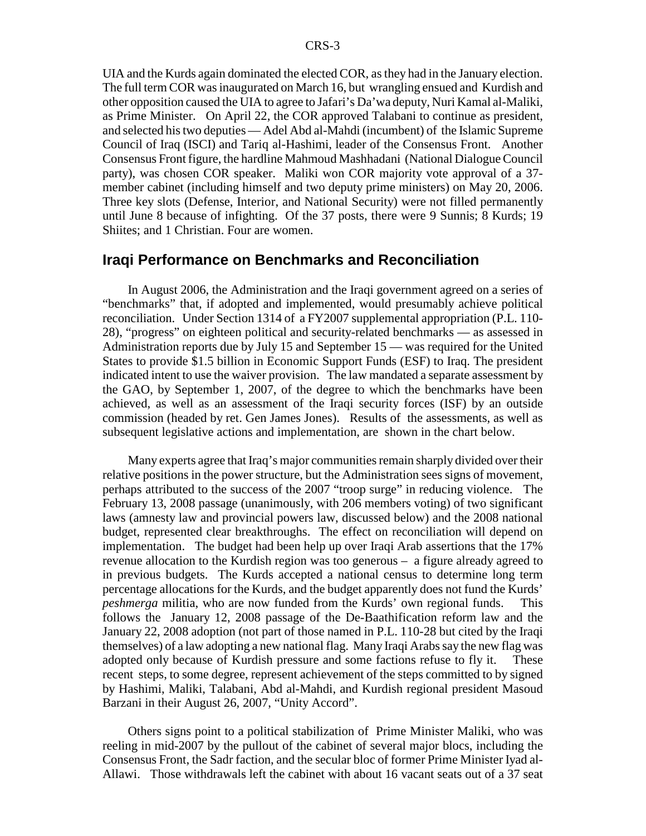UIA and the Kurds again dominated the elected COR, as they had in the January election. The full term COR was inaugurated on March 16, but wrangling ensued and Kurdish and other opposition caused the UIA to agree to Jafari's Da'wa deputy, Nuri Kamal al-Maliki, as Prime Minister. On April 22, the COR approved Talabani to continue as president, and selected his two deputies — Adel Abd al-Mahdi (incumbent) of the Islamic Supreme Council of Iraq (ISCI) and Tariq al-Hashimi, leader of the Consensus Front. Another Consensus Front figure, the hardline Mahmoud Mashhadani (National Dialogue Council party), was chosen COR speaker. Maliki won COR majority vote approval of a 37 member cabinet (including himself and two deputy prime ministers) on May 20, 2006. Three key slots (Defense, Interior, and National Security) were not filled permanently until June 8 because of infighting. Of the 37 posts, there were 9 Sunnis; 8 Kurds; 19 Shiites; and 1 Christian. Four are women.

### **Iraqi Performance on Benchmarks and Reconciliation**

In August 2006, the Administration and the Iraqi government agreed on a series of "benchmarks" that, if adopted and implemented, would presumably achieve political reconciliation. Under Section 1314 of a FY2007 supplemental appropriation (P.L. 110- 28), "progress" on eighteen political and security-related benchmarks — as assessed in Administration reports due by July 15 and September 15 — was required for the United States to provide \$1.5 billion in Economic Support Funds (ESF) to Iraq. The president indicated intent to use the waiver provision. The law mandated a separate assessment by the GAO, by September 1, 2007, of the degree to which the benchmarks have been achieved, as well as an assessment of the Iraqi security forces (ISF) by an outside commission (headed by ret. Gen James Jones). Results of the assessments, as well as subsequent legislative actions and implementation, are shown in the chart below.

Many experts agree that Iraq's major communities remain sharply divided over their relative positions in the power structure, but the Administration sees signs of movement, perhaps attributed to the success of the 2007 "troop surge" in reducing violence. The February 13, 2008 passage (unanimously, with 206 members voting) of two significant laws (amnesty law and provincial powers law, discussed below) and the 2008 national budget, represented clear breakthroughs. The effect on reconciliation will depend on implementation. The budget had been help up over Iraqi Arab assertions that the 17% revenue allocation to the Kurdish region was too generous – a figure already agreed to in previous budgets. The Kurds accepted a national census to determine long term percentage allocations for the Kurds, and the budget apparently does not fund the Kurds' *peshmerga* militia, who are now funded from the Kurds' own regional funds. This follows the January 12, 2008 passage of the De-Baathification reform law and the January 22, 2008 adoption (not part of those named in P.L. 110-28 but cited by the Iraqi themselves) of a law adopting a new national flag. Many Iraqi Arabs say the new flag was adopted only because of Kurdish pressure and some factions refuse to fly it. These recent steps, to some degree, represent achievement of the steps committed to by signed by Hashimi, Maliki, Talabani, Abd al-Mahdi, and Kurdish regional president Masoud Barzani in their August 26, 2007, "Unity Accord".

Others signs point to a political stabilization of Prime Minister Maliki, who was reeling in mid-2007 by the pullout of the cabinet of several major blocs, including the Consensus Front, the Sadr faction, and the secular bloc of former Prime Minister Iyad al-Allawi. Those withdrawals left the cabinet with about 16 vacant seats out of a 37 seat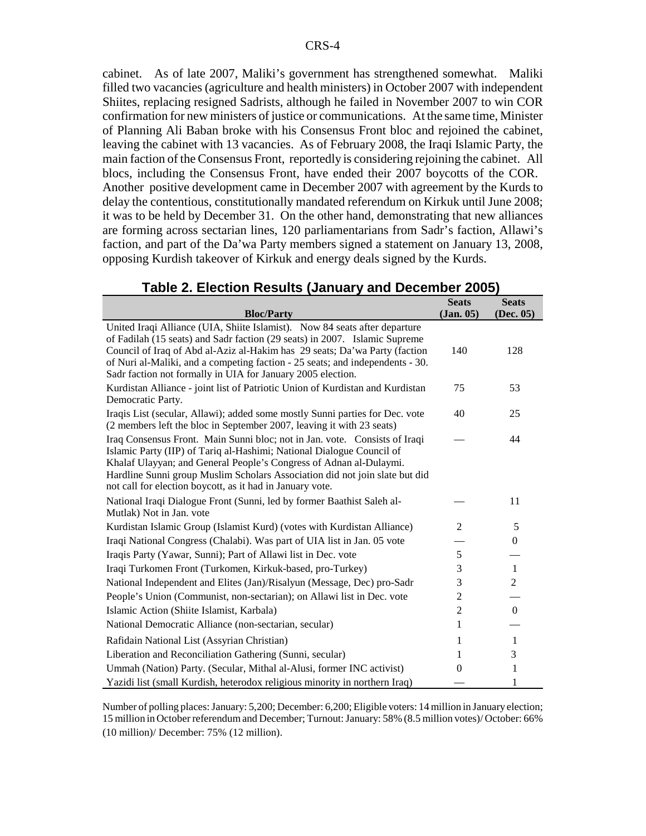cabinet. As of late 2007, Maliki's government has strengthened somewhat. Maliki filled two vacancies (agriculture and health ministers) in October 2007 with independent Shiites, replacing resigned Sadrists, although he failed in November 2007 to win COR confirmation for new ministers of justice or communications. At the same time, Minister of Planning Ali Baban broke with his Consensus Front bloc and rejoined the cabinet, leaving the cabinet with 13 vacancies. As of February 2008, the Iraqi Islamic Party, the main faction of the Consensus Front, reportedly is considering rejoining the cabinet. All blocs, including the Consensus Front, have ended their 2007 boycotts of the COR. Another positive development came in December 2007 with agreement by the Kurds to delay the contentious, constitutionally mandated referendum on Kirkuk until June 2008; it was to be held by December 31. On the other hand, demonstrating that new alliances are forming across sectarian lines, 120 parliamentarians from Sadr's faction, Allawi's faction, and part of the Da'wa Party members signed a statement on January 13, 2008, opposing Kurdish takeover of Kirkuk and energy deals signed by the Kurds.

| <b>Bloc/Party</b>                                                                                                                                                                                                                                                                                                                                                                      | <b>Seats</b><br>(Jan. 05) | <b>Seats</b><br>(Dec. 05) |
|----------------------------------------------------------------------------------------------------------------------------------------------------------------------------------------------------------------------------------------------------------------------------------------------------------------------------------------------------------------------------------------|---------------------------|---------------------------|
| United Iraqi Alliance (UIA, Shiite Islamist). Now 84 seats after departure<br>of Fadilah (15 seats) and Sadr faction (29 seats) in 2007. Islamic Supreme<br>Council of Iraq of Abd al-Aziz al-Hakim has 29 seats; Da'wa Party (faction<br>of Nuri al-Maliki, and a competing faction - 25 seats; and independents - 30.<br>Sadr faction not formally in UIA for January 2005 election. | 140                       | 128                       |
| Kurdistan Alliance - joint list of Patriotic Union of Kurdistan and Kurdistan<br>Democratic Party.                                                                                                                                                                                                                                                                                     | 75                        | 53                        |
| Iraqis List (secular, Allawi); added some mostly Sunni parties for Dec. vote<br>(2 members left the bloc in September 2007, leaving it with 23 seats)                                                                                                                                                                                                                                  | 40                        | 25                        |
| Iraq Consensus Front. Main Sunni bloc; not in Jan. vote. Consists of Iraqi<br>Islamic Party (IIP) of Tariq al-Hashimi; National Dialogue Council of<br>Khalaf Ulayyan; and General People's Congress of Adnan al-Dulaymi.<br>Hardline Sunni group Muslim Scholars Association did not join slate but did<br>not call for election boycott, as it had in January vote.                  |                           | 44                        |
| National Iraqi Dialogue Front (Sunni, led by former Baathist Saleh al-<br>Mutlak) Not in Jan. vote                                                                                                                                                                                                                                                                                     |                           | 11                        |
| Kurdistan Islamic Group (Islamist Kurd) (votes with Kurdistan Alliance)                                                                                                                                                                                                                                                                                                                | 2                         | 5                         |
| Iraqi National Congress (Chalabi). Was part of UIA list in Jan. 05 vote                                                                                                                                                                                                                                                                                                                |                           | $\boldsymbol{0}$          |
| Iraqis Party (Yawar, Sunni); Part of Allawi list in Dec. vote                                                                                                                                                                                                                                                                                                                          | 5                         |                           |
| Iraqi Turkomen Front (Turkomen, Kirkuk-based, pro-Turkey)                                                                                                                                                                                                                                                                                                                              | 3                         | $\mathbf{1}$              |
| National Independent and Elites (Jan)/Risalyun (Message, Dec) pro-Sadr                                                                                                                                                                                                                                                                                                                 | 3                         | $\boldsymbol{2}$          |
| People's Union (Communist, non-sectarian); on Allawi list in Dec. vote                                                                                                                                                                                                                                                                                                                 | 2                         |                           |
| Islamic Action (Shiite Islamist, Karbala)                                                                                                                                                                                                                                                                                                                                              | $\overline{c}$            | $\boldsymbol{0}$          |
| National Democratic Alliance (non-sectarian, secular)                                                                                                                                                                                                                                                                                                                                  | 1                         |                           |
| Rafidain National List (Assyrian Christian)                                                                                                                                                                                                                                                                                                                                            | 1                         | $\mathbf{1}$              |
| Liberation and Reconciliation Gathering (Sunni, secular)                                                                                                                                                                                                                                                                                                                               | 1                         | 3                         |
| Ummah (Nation) Party. (Secular, Mithal al-Alusi, former INC activist)                                                                                                                                                                                                                                                                                                                  | $\mathbf{0}$              | 1                         |
| Yazidi list (small Kurdish, heterodox religious minority in northern Iraq)                                                                                                                                                                                                                                                                                                             |                           | 1                         |

## **Table 2. Election Results (January and December 2005)**

Number of polling places: January: 5,200; December: 6,200; Eligible voters: 14 million in January election; 15 million in October referendum and December; Turnout: January: 58% (8.5 million votes)/ October: 66% (10 million)/ December: 75% (12 million).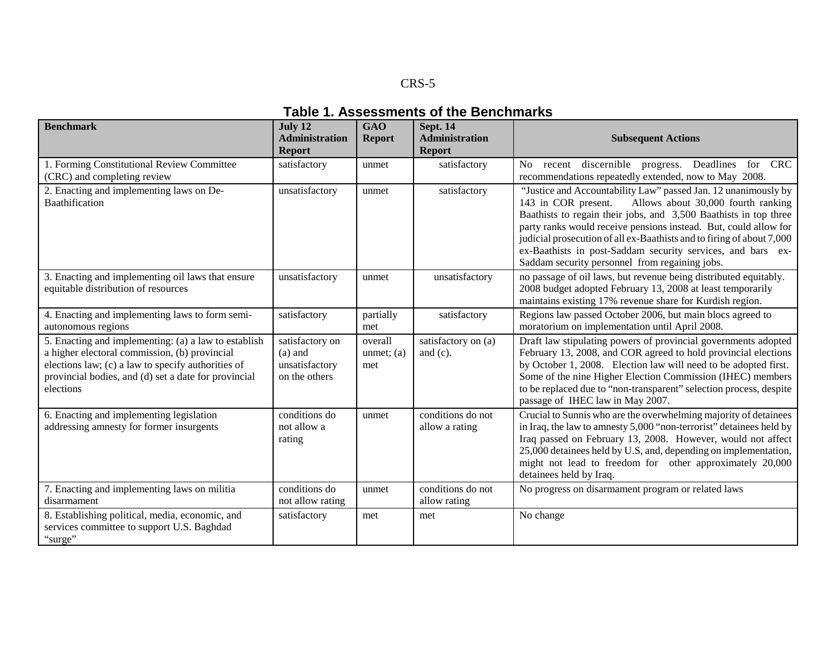#### CRS-5

#### **Table 1. Assessments of the Benchmarks**

| <b>Benchmark</b>                                                                                                                                                                                                                 | July 12<br><b>Administration</b><br><b>Report</b>               | <b>GAO</b><br><b>Report</b>    | Sept. 14<br><b>Administration</b><br><b>Report</b> | <b>Subsequent Actions</b>                                                                                                                                                                                                                                                                                                                                                                                                                                     |
|----------------------------------------------------------------------------------------------------------------------------------------------------------------------------------------------------------------------------------|-----------------------------------------------------------------|--------------------------------|----------------------------------------------------|---------------------------------------------------------------------------------------------------------------------------------------------------------------------------------------------------------------------------------------------------------------------------------------------------------------------------------------------------------------------------------------------------------------------------------------------------------------|
| 1. Forming Constitutional Review Committee<br>(CRC) and completing review                                                                                                                                                        | satisfactory                                                    | unmet                          | satisfactory                                       | No recent discernible progress. Deadlines for CRC<br>recommendations repeatedly extended, now to May 2008.                                                                                                                                                                                                                                                                                                                                                    |
| 2. Enacting and implementing laws on De-<br>Baathification                                                                                                                                                                       | unsatisfactory                                                  | unmet                          | satisfactory                                       | "Justice and Accountability Law" passed Jan. 12 unanimously by<br>Allows about 30,000 fourth ranking<br>143 in COR present.<br>Baathists to regain their jobs, and 3,500 Baathists in top three<br>party ranks would receive pensions instead. But, could allow for<br>judicial prosecution of all ex-Baathists and to firing of about 7,000<br>ex-Baathists in post-Saddam security services, and bars ex-<br>Saddam security personnel from regaining jobs. |
| 3. Enacting and implementing oil laws that ensure<br>equitable distribution of resources                                                                                                                                         | unsatisfactory                                                  | unmet                          | unsatisfactory                                     | no passage of oil laws, but revenue being distributed equitably.<br>2008 budget adopted February 13, 2008 at least temporarily<br>maintains existing 17% revenue share for Kurdish region.                                                                                                                                                                                                                                                                    |
| 4. Enacting and implementing laws to form semi-<br>autonomous regions                                                                                                                                                            | satisfactory                                                    | partially<br>met               | satisfactory                                       | Regions law passed October 2006, but main blocs agreed to<br>moratorium on implementation until April 2008.                                                                                                                                                                                                                                                                                                                                                   |
| 5. Enacting and implementing: (a) a law to establish<br>a higher electoral commission, (b) provincial<br>elections law; (c) a law to specify authorities of<br>provincial bodies, and (d) set a date for provincial<br>elections | satisfactory on<br>$(a)$ and<br>unsatisfactory<br>on the others | overall<br>unmet; $(a)$<br>met | satisfactory on (a)<br>and $(c)$ .                 | Draft law stipulating powers of provincial governments adopted<br>February 13, 2008, and COR agreed to hold provincial elections<br>by October 1, 2008. Election law will need to be adopted first.<br>Some of the nine Higher Election Commission (IHEC) members<br>to be replaced due to "non-transparent" selection process, despite<br>passage of IHEC law in May 2007.                                                                                   |
| 6. Enacting and implementing legislation<br>addressing amnesty for former insurgents                                                                                                                                             | conditions do<br>not allow a<br>rating                          | unmet                          | conditions do not<br>allow a rating                | Crucial to Sunnis who are the overwhelming majority of detainees<br>in Iraq, the law to amnesty 5,000 "non-terrorist" detainees held by<br>Iraq passed on February 13, 2008. However, would not affect<br>25,000 detainees held by U.S. and, depending on implementation,<br>might not lead to freedom for other approximately 20,000<br>detainees held by Iraq.                                                                                              |
| 7. Enacting and implementing laws on militia<br>disarmament                                                                                                                                                                      | conditions do<br>not allow rating                               | unmet                          | conditions do not<br>allow rating                  | No progress on disarmament program or related laws                                                                                                                                                                                                                                                                                                                                                                                                            |
| 8. Establishing political, media, economic, and<br>services committee to support U.S. Baghdad<br>"surge"                                                                                                                         | satisfactory                                                    | met                            | met                                                | No change                                                                                                                                                                                                                                                                                                                                                                                                                                                     |